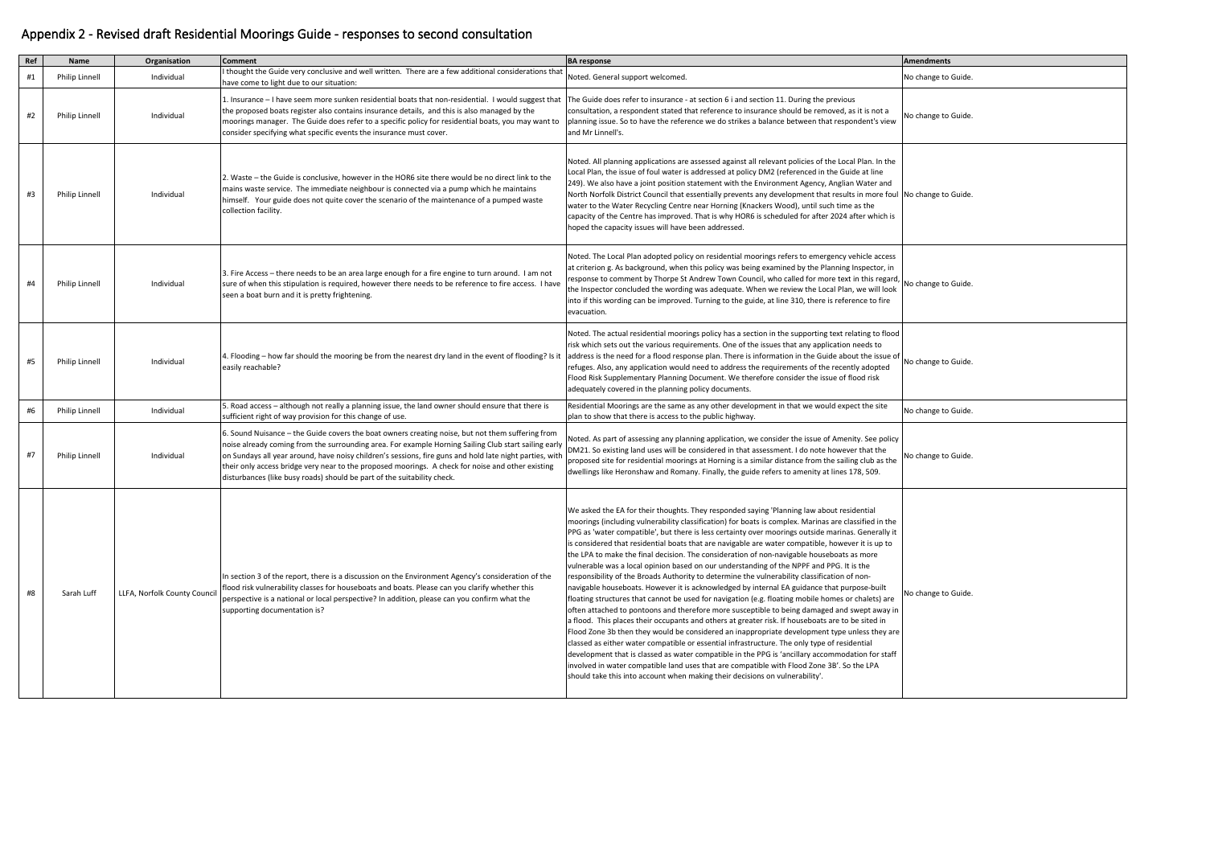| Ref | Name                  | Organisation                 | <b>Comment</b>                                                                                                                                                                                                                                                                                                                                                                                                                                                                                      | <b>BA</b> response                                                                                                                                                                                                                                                                                                                                                                                                                                                                                                                                                                                                                                                                                                                                                                                                                                                                                                                                                                                                                                                                                                                                                                                                                                                                                                                                                                                                                                                                                                                                                                                  | <b>Amendments</b>   |
|-----|-----------------------|------------------------------|-----------------------------------------------------------------------------------------------------------------------------------------------------------------------------------------------------------------------------------------------------------------------------------------------------------------------------------------------------------------------------------------------------------------------------------------------------------------------------------------------------|-----------------------------------------------------------------------------------------------------------------------------------------------------------------------------------------------------------------------------------------------------------------------------------------------------------------------------------------------------------------------------------------------------------------------------------------------------------------------------------------------------------------------------------------------------------------------------------------------------------------------------------------------------------------------------------------------------------------------------------------------------------------------------------------------------------------------------------------------------------------------------------------------------------------------------------------------------------------------------------------------------------------------------------------------------------------------------------------------------------------------------------------------------------------------------------------------------------------------------------------------------------------------------------------------------------------------------------------------------------------------------------------------------------------------------------------------------------------------------------------------------------------------------------------------------------------------------------------------------|---------------------|
| #1  | Philip Linnell        | Individual                   | I thought the Guide very conclusive and well written. There are a few additional considerations that<br>have come to light due to our situation:                                                                                                                                                                                                                                                                                                                                                    | Noted. General support welcomed.                                                                                                                                                                                                                                                                                                                                                                                                                                                                                                                                                                                                                                                                                                                                                                                                                                                                                                                                                                                                                                                                                                                                                                                                                                                                                                                                                                                                                                                                                                                                                                    | No change to Guide. |
| #2  | <b>Philip Linnell</b> | Individual                   | 1. Insurance - I have seem more sunken residential boats that non-residential. I would suggest that The Guide does refer to insurance - at section 6 i and section 11. During the previous<br>the proposed boats register also contains insurance details, and this is also managed by the<br>moorings manager. The Guide does refer to a specific policy for residential boats, you may want to<br>consider specifying what specific events the insurance must cover.                              | consultation, a respondent stated that reference to insurance should be removed, as it is not a<br>planning issue. So to have the reference we do strikes a balance between that respondent's view<br>and Mr Linnell's.                                                                                                                                                                                                                                                                                                                                                                                                                                                                                                                                                                                                                                                                                                                                                                                                                                                                                                                                                                                                                                                                                                                                                                                                                                                                                                                                                                             | No change to Guide  |
| #3  | <b>Philip Linnell</b> | Individual                   | 2. Waste – the Guide is conclusive, however in the HOR6 site there would be no direct link to the<br>mains waste service. The immediate neighbour is connected via a pump which he maintains<br>himself. Your guide does not quite cover the scenario of the maintenance of a pumped waste<br>collection facility.                                                                                                                                                                                  | Noted. All planning applications are assessed against all relevant policies of the Local Plan. In the<br>Local Plan, the issue of foul water is addressed at policy DM2 (referenced in the Guide at line<br>[249]. We also have a joint position statement with the Environment Agency, Anglian Water and<br>North Norfolk District Council that essentially prevents any development that results in more foul No change to Guide<br>water to the Water Recycling Centre near Horning (Knackers Wood), until such time as the<br>capacity of the Centre has improved. That is why HOR6 is scheduled for after 2024 after which is<br>hoped the capacity issues will have been addressed.                                                                                                                                                                                                                                                                                                                                                                                                                                                                                                                                                                                                                                                                                                                                                                                                                                                                                                           |                     |
| #4  | <b>Philip Linnell</b> | Individual                   | 3. Fire Access – there needs to be an area large enough for a fire engine to turn around. I am not<br>sure of when this stipulation is required, however there needs to be reference to fire access. I have<br>seen a boat burn and it is pretty frightening.                                                                                                                                                                                                                                       | Noted. The Local Plan adopted policy on residential moorings refers to emergency vehicle access<br>at criterion g. As background, when this policy was being examined by the Planning Inspector, in<br>response to comment by Thorpe St Andrew Town Council, who called for more text in this regard<br>the Inspector concluded the wording was adequate. When we review the Local Plan, we will look<br>into if this wording can be improved. Turning to the guide, at line 310, there is reference to fire<br>evacuation.                                                                                                                                                                                                                                                                                                                                                                                                                                                                                                                                                                                                                                                                                                                                                                                                                                                                                                                                                                                                                                                                         | No change to Guide  |
| #5  | <b>Philip Linnell</b> | Individual                   | 4. Flooding – how far should the mooring be from the nearest dry land in the event of flooding? Is it  address is the need for a flood response plan. There is information in the Guide about the issue of<br>easily reachable?                                                                                                                                                                                                                                                                     | Noted. The actual residential moorings policy has a section in the supporting text relating to flood<br>risk which sets out the various requirements. One of the issues that any application needs to<br>refuges. Also, any application would need to address the requirements of the recently adopted<br>Flood Risk Supplementary Planning Document. We therefore consider the issue of flood risk<br>adequately covered in the planning policy documents.                                                                                                                                                                                                                                                                                                                                                                                                                                                                                                                                                                                                                                                                                                                                                                                                                                                                                                                                                                                                                                                                                                                                         | No change to Guide  |
| #6  | Philip Linnell        | Individual                   | 5. Road access - although not really a planning issue, the land owner should ensure that there is<br>sufficient right of way provision for this change of use.                                                                                                                                                                                                                                                                                                                                      | Residential Moorings are the same as any other development in that we would expect the site<br>plan to show that there is access to the public highway.                                                                                                                                                                                                                                                                                                                                                                                                                                                                                                                                                                                                                                                                                                                                                                                                                                                                                                                                                                                                                                                                                                                                                                                                                                                                                                                                                                                                                                             | No change to Guide  |
| #7  | Philip Linnell        | Individual                   | 6. Sound Nuisance - the Guide covers the boat owners creating noise, but not them suffering from<br>noise already coming from the surrounding area. For example Horning Sailing Club start sailing early<br>on Sundays all year around, have noisy children's sessions, fire guns and hold late night parties, with<br>their only access bridge very near to the proposed moorings. A check for noise and other existing<br>disturbances (like busy roads) should be part of the suitability check. | Noted. As part of assessing any planning application, we consider the issue of Amenity. See policy<br>DM21. So existing land uses will be considered in that assessment. I do note however that the<br>proposed site for residential moorings at Horning is a similar distance from the sailing club as the<br>dwellings like Heronshaw and Romany. Finally, the guide refers to amenity at lines 178, 509.                                                                                                                                                                                                                                                                                                                                                                                                                                                                                                                                                                                                                                                                                                                                                                                                                                                                                                                                                                                                                                                                                                                                                                                         | No change to Guide  |
| #8  | Sarah Luff            | LLFA, Norfolk County Council | In section 3 of the report, there is a discussion on the Environment Agency's consideration of the<br>flood risk vulnerability classes for houseboats and boats. Please can you clarify whether this<br>perspective is a national or local perspective? In addition, please can you confirm what the<br>supporting documentation is?                                                                                                                                                                | We asked the EA for their thoughts. They responded saying 'Planning law about residential<br>moorings (including vulnerability classification) for boats is complex. Marinas are classified in the<br>PPG as 'water compatible', but there is less certainty over moorings outside marinas. Generally it<br>is considered that residential boats that are navigable are water compatible, however it is up to<br>the LPA to make the final decision. The consideration of non-navigable houseboats as more<br>vulnerable was a local opinion based on our understanding of the NPPF and PPG. It is the<br>responsibility of the Broads Authority to determine the vulnerability classification of non-<br>navigable houseboats. However it is acknowledged by internal EA guidance that purpose-built<br>floating structures that cannot be used for navigation (e.g. floating mobile homes or chalets) are<br>often attached to pontoons and therefore more susceptible to being damaged and swept away in<br>a flood. This places their occupants and others at greater risk. If houseboats are to be sited in<br>Flood Zone 3b then they would be considered an inappropriate development type unless they are<br>classed as either water compatible or essential infrastructure. The only type of residential<br>development that is classed as water compatible in the PPG is 'ancillary accommodation for staff<br>involved in water compatible land uses that are compatible with Flood Zone 3B'. So the LPA<br>should take this into account when making their decisions on vulnerability'. | No change to Guide. |

| <b>Amendments</b>   |  |
|---------------------|--|
| No change to Guide. |  |
| No change to Guide. |  |
| No change to Guide. |  |
| No change to Guide. |  |
| No change to Guide. |  |
| No change to Guide. |  |
| No change to Guide. |  |
| No change to Guide. |  |

## Appendix 2 - Revised draft Residential Moorings Guide - responses to second consultation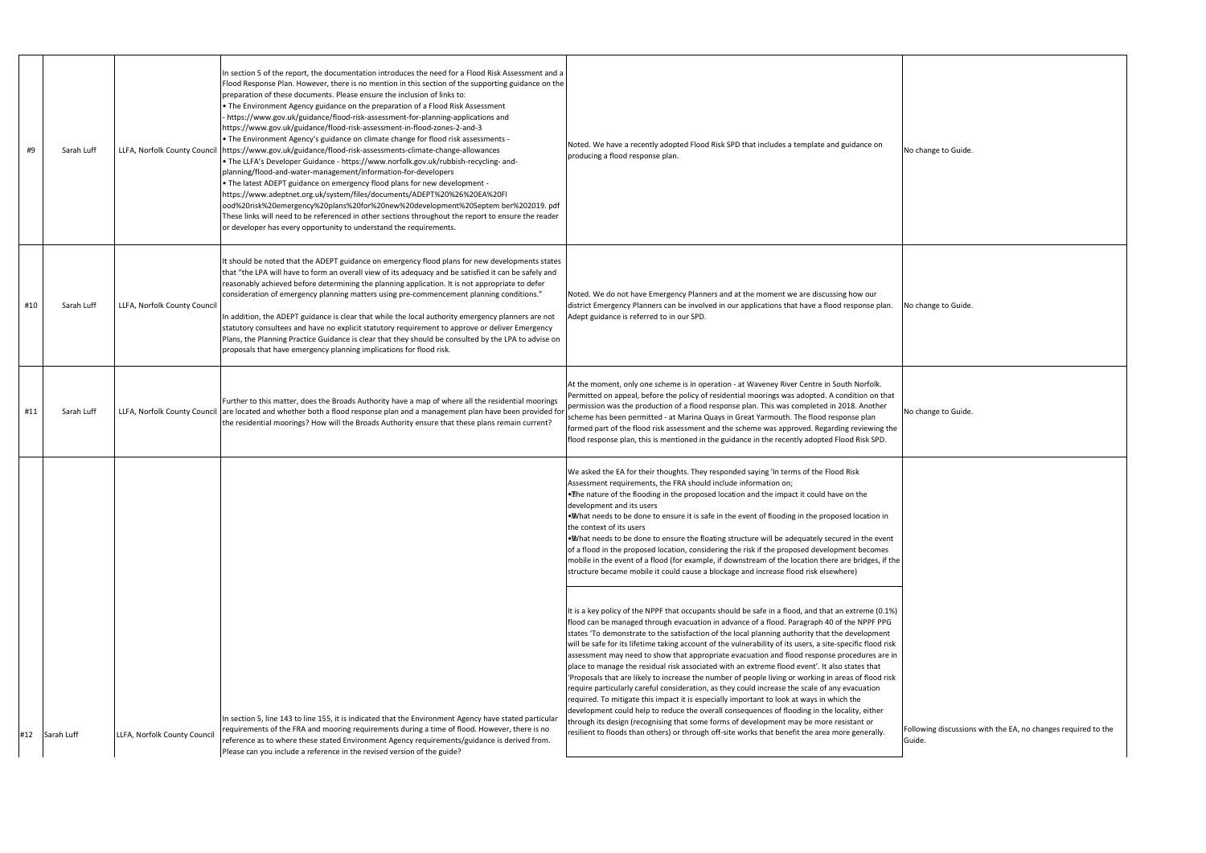| #9  | Sarah Luff | LLFA, Norfolk County Council | In section 5 of the report, the documentation introduces the need for a Flood Risk Assessment and a<br>Flood Response Plan. However, there is no mention in this section of the supporting guidance on the<br>preparation of these documents. Please ensure the inclusion of links to:<br>• The Environment Agency guidance on the preparation of a Flood Risk Assessment<br>- https://www.gov.uk/guidance/flood-risk-assessment-for-planning-applications and<br>https://www.gov.uk/guidance/flood-risk-assessment-in-flood-zones-2-and-3<br>• The Environment Agency's guidance on climate change for flood risk assessments -<br>https://www.gov.uk/guidance/flood-risk-assessments-climate-change-allowances<br>• The LLFA's Developer Guidance - https://www.norfolk.gov.uk/rubbish-recycling- and-<br>planning/flood-and-water-management/information-for-developers<br>• The latest ADEPT guidance on emergency flood plans for new development -<br>https://www.adeptnet.org.uk/system/files/documents/ADEPT%20%26%20EA%20Fl<br>ood%20risk%20emergency%20plans%20for%20new%20development%20Septem ber%202019. pdf<br>These links will need to be referenced in other sections throughout the report to ensure the reader<br>or developer has every opportunity to understand the requirements. | Noted. We have a recently adopted Flood Risk SPD that includes a template and guidance on<br>producing a flood response plan.                                                                                                                                                                                                                                                                                                                                                                                                                                                                                                                                                                                                                                                                                                                                                                                                                                                                                                                                                                                                                                                                                                | No change to Guide             |
|-----|------------|------------------------------|--------------------------------------------------------------------------------------------------------------------------------------------------------------------------------------------------------------------------------------------------------------------------------------------------------------------------------------------------------------------------------------------------------------------------------------------------------------------------------------------------------------------------------------------------------------------------------------------------------------------------------------------------------------------------------------------------------------------------------------------------------------------------------------------------------------------------------------------------------------------------------------------------------------------------------------------------------------------------------------------------------------------------------------------------------------------------------------------------------------------------------------------------------------------------------------------------------------------------------------------------------------------------------------------------------|------------------------------------------------------------------------------------------------------------------------------------------------------------------------------------------------------------------------------------------------------------------------------------------------------------------------------------------------------------------------------------------------------------------------------------------------------------------------------------------------------------------------------------------------------------------------------------------------------------------------------------------------------------------------------------------------------------------------------------------------------------------------------------------------------------------------------------------------------------------------------------------------------------------------------------------------------------------------------------------------------------------------------------------------------------------------------------------------------------------------------------------------------------------------------------------------------------------------------|--------------------------------|
| #10 | Sarah Luff | LLFA, Norfolk County Council | It should be noted that the ADEPT guidance on emergency flood plans for new developments states<br>that "the LPA will have to form an overall view of its adequacy and be satisfied it can be safely and<br>reasonably achieved before determining the planning application. It is not appropriate to defer<br>consideration of emergency planning matters using pre-commencement planning conditions."<br>In addition, the ADEPT guidance is clear that while the local authority emergency planners are not<br>statutory consultees and have no explicit statutory requirement to approve or deliver Emergency<br>Plans, the Planning Practice Guidance is clear that they should be consulted by the LPA to advise on<br>proposals that have emergency planning implications for flood risk.                                                                                                                                                                                                                                                                                                                                                                                                                                                                                                        | Noted. We do not have Emergency Planners and at the moment we are discussing how our<br>district Emergency Planners can be involved in our applications that have a flood response plan.<br>Adept guidance is referred to in our SPD.                                                                                                                                                                                                                                                                                                                                                                                                                                                                                                                                                                                                                                                                                                                                                                                                                                                                                                                                                                                        | No change to Guide.            |
| #11 | Sarah Luff |                              | Further to this matter, does the Broads Authority have a map of where all the residential moorings<br>LLFA, Norfolk County Council are located and whether both a flood response plan and a management plan have been provided for<br>the residential moorings? How will the Broads Authority ensure that these plans remain current?                                                                                                                                                                                                                                                                                                                                                                                                                                                                                                                                                                                                                                                                                                                                                                                                                                                                                                                                                                  | At the moment, only one scheme is in operation - at Waveney River Centre in South Norfolk.<br>Permitted on appeal, before the policy of residential moorings was adopted. A condition on that<br>permission was the production of a flood response plan. This was completed in 2018. Another<br>scheme has been permitted - at Marina Quays in Great Yarmouth. The flood response plan<br>formed part of the flood risk assessment and the scheme was approved. Regarding reviewing the<br>flood response plan, this is mentioned in the guidance in the recently adopted Flood Risk SPD.                                                                                                                                                                                                                                                                                                                                                                                                                                                                                                                                                                                                                                    | No change to Guide             |
|     |            |                              |                                                                                                                                                                                                                                                                                                                                                                                                                                                                                                                                                                                                                                                                                                                                                                                                                                                                                                                                                                                                                                                                                                                                                                                                                                                                                                        | We asked the EA for their thoughts. They responded saying 'In terms of the Flood Risk<br>Assessment requirements, the FRA should include information on;<br>. The nature of the flooding in the proposed location and the impact it could have on the<br>development and its users<br>. What needs to be done to ensure it is safe in the event of flooding in the proposed location in<br>the context of its users<br>. What needs to be done to ensure the floating structure will be adequately secured in the event<br>of a flood in the proposed location, considering the risk if the proposed development becomes<br>mobile in the event of a flood (for example, if downstream of the location there are bridges, if the<br>structure became mobile it could cause a blockage and increase flood risk elsewhere)                                                                                                                                                                                                                                                                                                                                                                                                     |                                |
| #12 | Sarah Luff | LLFA, Norfolk County Council | In section 5, line 143 to line 155, it is indicated that the Environment Agency have stated particular<br>requirements of the FRA and mooring requirements during a time of flood. However, there is no<br>reference as to where these stated Environment Agency requirements/guidance is derived from.<br>Please can you include a reference in the revised version of the guide?                                                                                                                                                                                                                                                                                                                                                                                                                                                                                                                                                                                                                                                                                                                                                                                                                                                                                                                     | It is a key policy of the NPPF that occupants should be safe in a flood, and that an extreme (0.1%)<br>flood can be managed through evacuation in advance of a flood. Paragraph 40 of the NPPF PPG<br>states 'To demonstrate to the satisfaction of the local planning authority that the development<br>will be safe for its lifetime taking account of the vulnerability of its users, a site-specific flood risk<br>assessment may need to show that appropriate evacuation and flood response procedures are in<br>place to manage the residual risk associated with an extreme flood event'. It also states that<br>'Proposals that are likely to increase the number of people living or working in areas of flood risk<br>require particularly careful consideration, as they could increase the scale of any evacuation<br>required. To mitigate this impact it is especially important to look at ways in which the<br>development could help to reduce the overall consequences of flooding in the locality, either<br>through its design (recognising that some forms of development may be more resistant or<br>resilient to floods than others) or through off-site works that benefit the area more generally. | Following discussion<br>Guide. |

bllowing discussions with the EA, no changes required to the uide.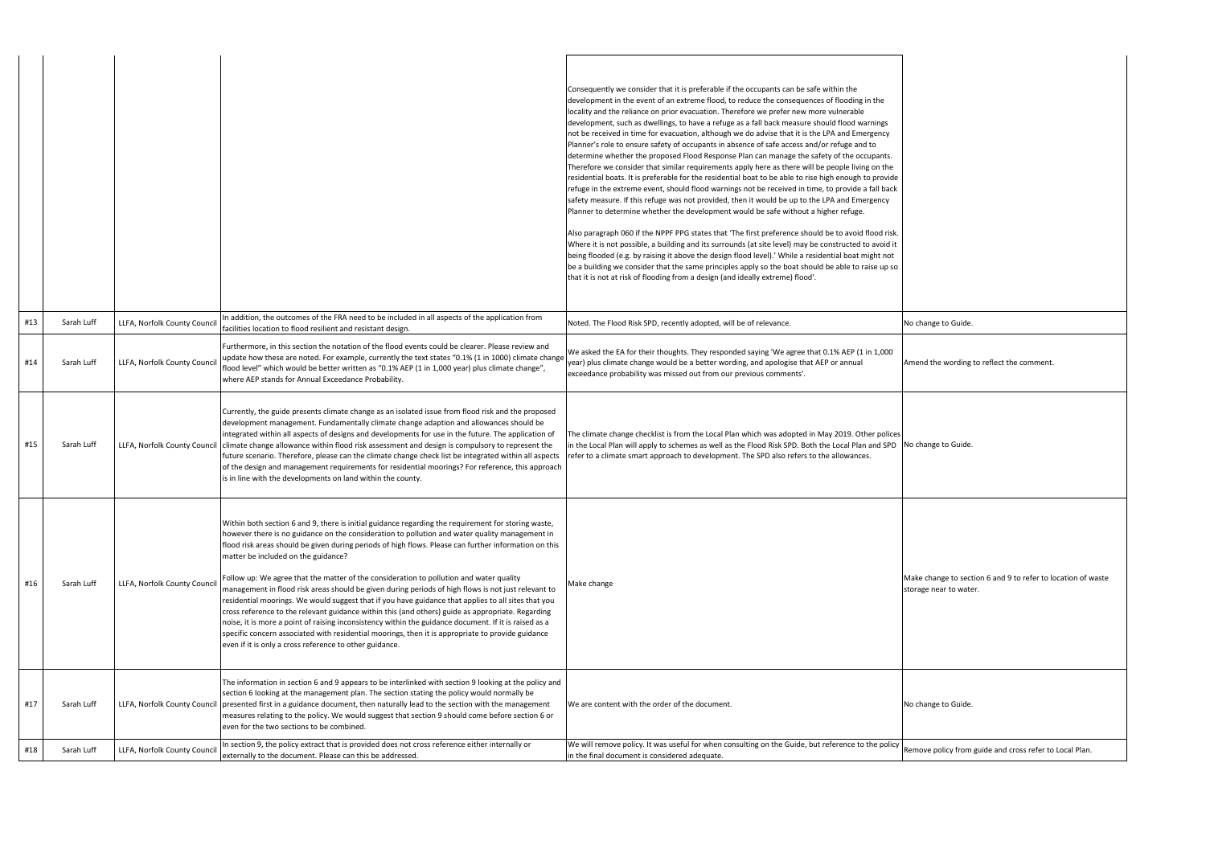Amend the wording to reflect the comment.

|     |            |                              |                                                                                                                                                                                                                                                                                                                                                                                                                                                                                                                                                                                                                                                                                                                                                                                                                                                                                                                                                                                                                                              | Consequently we consider that it is preferable if the occupants can be safe within the<br>development in the event of an extreme flood, to reduce the consequences of flooding in the<br>locality and the reliance on prior evacuation. Therefore we prefer new more vulnerable<br>development, such as dwellings, to have a refuge as a fall back measure should flood warnings<br>not be received in time for evacuation, although we do advise that it is the LPA and Emergency<br>Planner's role to ensure safety of occupants in absence of safe access and/or refuge and to<br>determine whether the proposed Flood Response Plan can manage the safety of the occupants.<br>Therefore we consider that similar requirements apply here as there will be people living on the<br>residential boats. It is preferable for the residential boat to be able to rise high enough to provide<br>refuge in the extreme event, should flood warnings not be received in time, to provide a fall back<br>safety measure. If this refuge was not provided, then it would be up to the LPA and Emergency<br>Planner to determine whether the development would be safe without a higher refuge.<br>Also paragraph 060 if the NPPF PPG states that 'The first preference should be to avoid flood risk.<br>Where it is not possible, a building and its surrounds (at site level) may be constructed to avoid it<br>being flooded (e.g. by raising it above the design flood level).' While a residential boat might not<br>be a building we consider that the same principles apply so the boat should be able to raise up so<br>that it is not at risk of flooding from a design (and ideally extreme) flood'. |                                            |
|-----|------------|------------------------------|----------------------------------------------------------------------------------------------------------------------------------------------------------------------------------------------------------------------------------------------------------------------------------------------------------------------------------------------------------------------------------------------------------------------------------------------------------------------------------------------------------------------------------------------------------------------------------------------------------------------------------------------------------------------------------------------------------------------------------------------------------------------------------------------------------------------------------------------------------------------------------------------------------------------------------------------------------------------------------------------------------------------------------------------|-------------------------------------------------------------------------------------------------------------------------------------------------------------------------------------------------------------------------------------------------------------------------------------------------------------------------------------------------------------------------------------------------------------------------------------------------------------------------------------------------------------------------------------------------------------------------------------------------------------------------------------------------------------------------------------------------------------------------------------------------------------------------------------------------------------------------------------------------------------------------------------------------------------------------------------------------------------------------------------------------------------------------------------------------------------------------------------------------------------------------------------------------------------------------------------------------------------------------------------------------------------------------------------------------------------------------------------------------------------------------------------------------------------------------------------------------------------------------------------------------------------------------------------------------------------------------------------------------------------------------------------------------------------------------------------------------------------|--------------------------------------------|
| #13 | Sarah Luff | LLFA, Norfolk County Counci  | In addition, the outcomes of the FRA need to be included in all aspects of the application from<br>facilities location to flood resilient and resistant design.                                                                                                                                                                                                                                                                                                                                                                                                                                                                                                                                                                                                                                                                                                                                                                                                                                                                              | Noted. The Flood Risk SPD, recently adopted, will be of relevance.                                                                                                                                                                                                                                                                                                                                                                                                                                                                                                                                                                                                                                                                                                                                                                                                                                                                                                                                                                                                                                                                                                                                                                                                                                                                                                                                                                                                                                                                                                                                                                                                                                          | No change to Guide                         |
| #14 | Sarah Luff | LLFA, Norfolk County Counci  | Furthermore, in this section the notation of the flood events could be clearer. Please review and<br>update how these are noted. For example, currently the text states "0.1% (1 in 1000) climate change<br>flood level" which would be better written as "0.1% AEP (1 in 1,000 year) plus climate change",<br>where AEP stands for Annual Exceedance Probability.                                                                                                                                                                                                                                                                                                                                                                                                                                                                                                                                                                                                                                                                           | We asked the EA for their thoughts. They responded saying 'We agree that 0.1% AEP (1 in 1,000<br>year) plus climate change would be a better wording, and apologise that AEP or annual<br>exceedance probability was missed out from our previous comments'.                                                                                                                                                                                                                                                                                                                                                                                                                                                                                                                                                                                                                                                                                                                                                                                                                                                                                                                                                                                                                                                                                                                                                                                                                                                                                                                                                                                                                                                | Amend the wording                          |
| #15 | Sarah Luff | LLFA, Norfolk County Council | Currently, the guide presents climate change as an isolated issue from flood risk and the proposed<br>development management. Fundamentally climate change adaption and allowances should be<br>integrated within all aspects of designs and developments for use in the future. The application of<br>climate change allowance within flood risk assessment and design is compulsory to represent the<br>future scenario. Therefore, please can the climate change check list be integrated within all aspects<br>of the design and management requirements for residential moorings? For reference, this approach<br>is in line with the developments on land within the county.                                                                                                                                                                                                                                                                                                                                                           | The climate change checklist is from the Local Plan which was adopted in May 2019. Other polices<br>in the Local Plan will apply to schemes as well as the Flood Risk SPD. Both the Local Plan and SPD<br>refer to a climate smart approach to development. The SPD also refers to the allowances.                                                                                                                                                                                                                                                                                                                                                                                                                                                                                                                                                                                                                                                                                                                                                                                                                                                                                                                                                                                                                                                                                                                                                                                                                                                                                                                                                                                                          | No change to Guide.                        |
| #16 | Sarah Luff | LLFA, Norfolk County Counci  | Within both section 6 and 9, there is initial guidance regarding the requirement for storing waste,<br>however there is no guidance on the consideration to pollution and water quality management in<br>flood risk areas should be given during periods of high flows. Please can further information on this<br>matter be included on the guidance?<br>Follow up: We agree that the matter of the consideration to pollution and water quality<br>management in flood risk areas should be given during periods of high flows is not just relevant to<br>residential moorings. We would suggest that if you have guidance that applies to all sites that you<br>cross reference to the relevant guidance within this (and others) guide as appropriate. Regarding<br>noise, it is more a point of raising inconsistency within the guidance document. If it is raised as a<br>specific concern associated with residential moorings, then it is appropriate to provide guidance<br>even if it is only a cross reference to other guidance. | Make change                                                                                                                                                                                                                                                                                                                                                                                                                                                                                                                                                                                                                                                                                                                                                                                                                                                                                                                                                                                                                                                                                                                                                                                                                                                                                                                                                                                                                                                                                                                                                                                                                                                                                                 | Make change to sec<br>storage near to wate |
| #17 | Sarah Luff |                              | The information in section 6 and 9 appears to be interlinked with section 9 looking at the policy and<br>section 6 looking at the management plan. The section stating the policy would normally be<br>LLFA, Norfolk County Council presented first in a guidance document, then naturally lead to the section with the management<br>measures relating to the policy. We would suggest that section 9 should come before section 6 or<br>even for the two sections to be combined.                                                                                                                                                                                                                                                                                                                                                                                                                                                                                                                                                          | We are content with the order of the document.                                                                                                                                                                                                                                                                                                                                                                                                                                                                                                                                                                                                                                                                                                                                                                                                                                                                                                                                                                                                                                                                                                                                                                                                                                                                                                                                                                                                                                                                                                                                                                                                                                                              | No change to Guide.                        |
| #18 | Sarah Luff | LLFA, Norfolk County Counci  | In section 9, the policy extract that is provided does not cross reference either internally or<br>externally to the document. Please can this be addressed.                                                                                                                                                                                                                                                                                                                                                                                                                                                                                                                                                                                                                                                                                                                                                                                                                                                                                 | We will remove policy. It was useful for when consulting on the Guide, but reference to the policy<br>in the final document is considered adequate.                                                                                                                                                                                                                                                                                                                                                                                                                                                                                                                                                                                                                                                                                                                                                                                                                                                                                                                                                                                                                                                                                                                                                                                                                                                                                                                                                                                                                                                                                                                                                         | Remove policy from                         |

Make change to section 6 and 9 to refer to location of waste torage near to water.

Remove policy from guide and cross refer to Local Plan.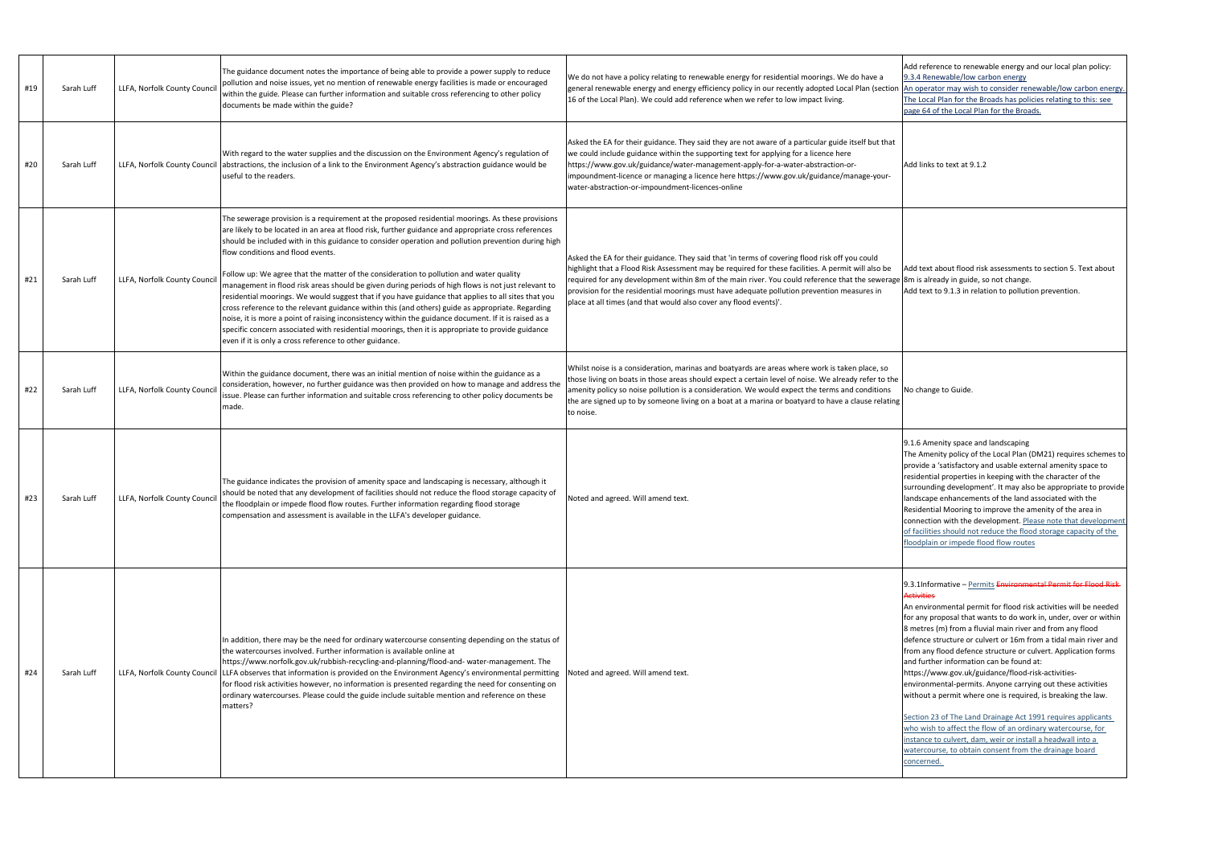| #19 | Sarah Luff | LLFA, Norfolk County Council | The guidance document notes the importance of being able to provide a power supply to reduce<br>pollution and noise issues, yet no mention of renewable energy facilities is made or encouraged<br>within the guide. Please can further information and suitable cross referencing to other policy<br>documents be made within the guide?                                                                                                                                                                                                                                                                                                                                                                                                                                                                                                                                                                                                                                                                                                    | We do not have a policy relating to renewable energy for residential moorings. We do have a<br>general renewable energy and energy efficiency policy in our recently adopted Local Plan (section Ar<br>16 of the Local Plan). We could add reference when we refer to low impact living.                                                                                                                                                                                      | 'Ac                                                                                                |
|-----|------------|------------------------------|----------------------------------------------------------------------------------------------------------------------------------------------------------------------------------------------------------------------------------------------------------------------------------------------------------------------------------------------------------------------------------------------------------------------------------------------------------------------------------------------------------------------------------------------------------------------------------------------------------------------------------------------------------------------------------------------------------------------------------------------------------------------------------------------------------------------------------------------------------------------------------------------------------------------------------------------------------------------------------------------------------------------------------------------|-------------------------------------------------------------------------------------------------------------------------------------------------------------------------------------------------------------------------------------------------------------------------------------------------------------------------------------------------------------------------------------------------------------------------------------------------------------------------------|----------------------------------------------------------------------------------------------------|
| #20 | Sarah Luff |                              | With regard to the water supplies and the discussion on the Environment Agency's regulation of<br>LLFA, Norfolk County Council abstractions, the inclusion of a link to the Environment Agency's abstraction guidance would be<br>useful to the readers.                                                                                                                                                                                                                                                                                                                                                                                                                                                                                                                                                                                                                                                                                                                                                                                     | Asked the EA for their guidance. They said they are not aware of a particular guide itself but that<br>we could include guidance within the supporting text for applying for a licence here<br>https://www.gov.uk/guidance/water-management-apply-for-a-water-abstraction-or-<br>impoundment-licence or managing a licence here https://www.gov.uk/guidance/manage-your-<br>water-abstraction-or-impoundment-licences-online                                                  | Ac                                                                                                 |
| #21 | Sarah Luff | LLFA, Norfolk County Council | The sewerage provision is a requirement at the proposed residential moorings. As these provisions<br>are likely to be located in an area at flood risk, further guidance and appropriate cross references<br>should be included with in this guidance to consider operation and pollution prevention during high<br>flow conditions and flood events.<br>Follow up: We agree that the matter of the consideration to pollution and water quality<br>management in flood risk areas should be given during periods of high flows is not just relevant to<br>residential moorings. We would suggest that if you have guidance that applies to all sites that you<br>cross reference to the relevant guidance within this (and others) guide as appropriate. Regarding<br>noise, it is more a point of raising inconsistency within the guidance document. If it is raised as a<br>specific concern associated with residential moorings, then it is appropriate to provide guidance<br>even if it is only a cross reference to other guidance. | Asked the EA for their guidance. They said that 'in terms of covering flood risk off you could<br>highlight that a Flood Risk Assessment may be required for these facilities. A permit will also be<br>required for any development within 8m of the main river. You could reference that the sewerage 8n<br>provision for the residential moorings must have adequate pollution prevention measures in<br>place at all times (and that would also cover any flood events)'. |                                                                                                    |
| #22 | Sarah Luff | LLFA, Norfolk County Council | Within the guidance document, there was an initial mention of noise within the guidance as a<br>consideration, however, no further guidance was then provided on how to manage and address the<br>issue. Please can further information and suitable cross referencing to other policy documents be<br>made.                                                                                                                                                                                                                                                                                                                                                                                                                                                                                                                                                                                                                                                                                                                                 | Whilst noise is a consideration, marinas and boatyards are areas where work is taken place, so<br>those living on boats in those areas should expect a certain level of noise. We already refer to the<br>amenity policy so noise pollution is a consideration. We would expect the terms and conditions<br>the are signed up to by someone living on a boat at a marina or boatyard to have a clause relating<br>to noise.                                                   |                                                                                                    |
| #23 | Sarah Luff | LLFA, Norfolk County Council | The guidance indicates the provision of amenity space and landscaping is necessary, although it<br>should be noted that any development of facilities should not reduce the flood storage capacity of<br>the floodplain or impede flood flow routes. Further information regarding flood storage<br>compensation and assessment is available in the LLFA's developer guidance.                                                                                                                                                                                                                                                                                                                                                                                                                                                                                                                                                                                                                                                               | Noted and agreed. Will amend text.                                                                                                                                                                                                                                                                                                                                                                                                                                            | re.<br>Re<br>co<br>flc                                                                             |
| #24 | Sarah Luff | LLFA, Norfolk County Council | In addition, there may be the need for ordinary watercourse consenting depending on the status of<br>the watercourses involved. Further information is available online at<br>https://www.norfolk.gov.uk/rubbish-recycling-and-planning/flood-and-water-management. The<br>LLFA observes that information is provided on the Environment Agency's environmental permitting<br>for flood risk activities however, no information is presented regarding the need for consenting on<br>ordinary watercourses. Please could the guide include suitable mention and reference on these<br>matters?                                                                                                                                                                                                                                                                                                                                                                                                                                               | Noted and agreed. Will amend text.                                                                                                                                                                                                                                                                                                                                                                                                                                            | fo<br>8 <sub>1</sub><br> de<br>fro<br>en<br>wi<br>in:<br>$\underline{\mathsf{W}}$<br>$\mathsf{co}$ |

| Add reference to renewable energy and our local plan policy:<br>9.3.4 Renewable/low carbon energy<br>An operator may wish to consider renewable/low carbon energy.                                                                                                                                                                                                                                                                                                                                                                                                                                                                                                                                                              |
|---------------------------------------------------------------------------------------------------------------------------------------------------------------------------------------------------------------------------------------------------------------------------------------------------------------------------------------------------------------------------------------------------------------------------------------------------------------------------------------------------------------------------------------------------------------------------------------------------------------------------------------------------------------------------------------------------------------------------------|
| The Local Plan for the Broads has policies relating to this: see<br>page 64 of the Local Plan for the Broads.                                                                                                                                                                                                                                                                                                                                                                                                                                                                                                                                                                                                                   |
| Add links to text at 9.1.2                                                                                                                                                                                                                                                                                                                                                                                                                                                                                                                                                                                                                                                                                                      |
| Add text about flood risk assessments to section 5. Text about<br>8m is already in guide, so not change.<br>Add text to 9.1.3 in relation to pollution prevention.                                                                                                                                                                                                                                                                                                                                                                                                                                                                                                                                                              |
| No change to Guide.                                                                                                                                                                                                                                                                                                                                                                                                                                                                                                                                                                                                                                                                                                             |
| 9.1.6 Amenity space and landscaping<br>The Amenity policy of the Local Plan (DM21) requires schemes to<br>provide a 'satisfactory and usable external amenity space to<br>residential properties in keeping with the character of the<br>surrounding development'. It may also be appropriate to provide<br>landscape enhancements of the land associated with the<br>Residential Mooring to improve the amenity of the area in<br>connection with the development. Please note that development<br>of facilities should not reduce the flood storage capacity of the<br>floodplain or impede flood flow routes                                                                                                                 |
| 9.3.1Informative - Permits Environmental Permit for Flood Risk-<br><b>Activities</b><br>An environmental permit for flood risk activities will be needed<br>for any proposal that wants to do work in, under, over or within<br>8 metres (m) from a fluvial main river and from any flood<br>defence structure or culvert or 16m from a tidal main river and<br>from any flood defence structure or culvert. Application forms<br>and further information can be found at:<br>https://www.gov.uk/guidance/flood-risk-activities-<br>environmental-permits. Anyone carrying out these activities<br>without a permit where one is required, is breaking the law.<br>Section 23 of The Land Drainage Act 1991 requires applicants |
| who wish to affect the flow of an ordinary watercourse, for<br>instance to culvert, dam, weir or install a headwall into a<br>watercourse, to obtain consent from the drainage board<br>concerned.                                                                                                                                                                                                                                                                                                                                                                                                                                                                                                                              |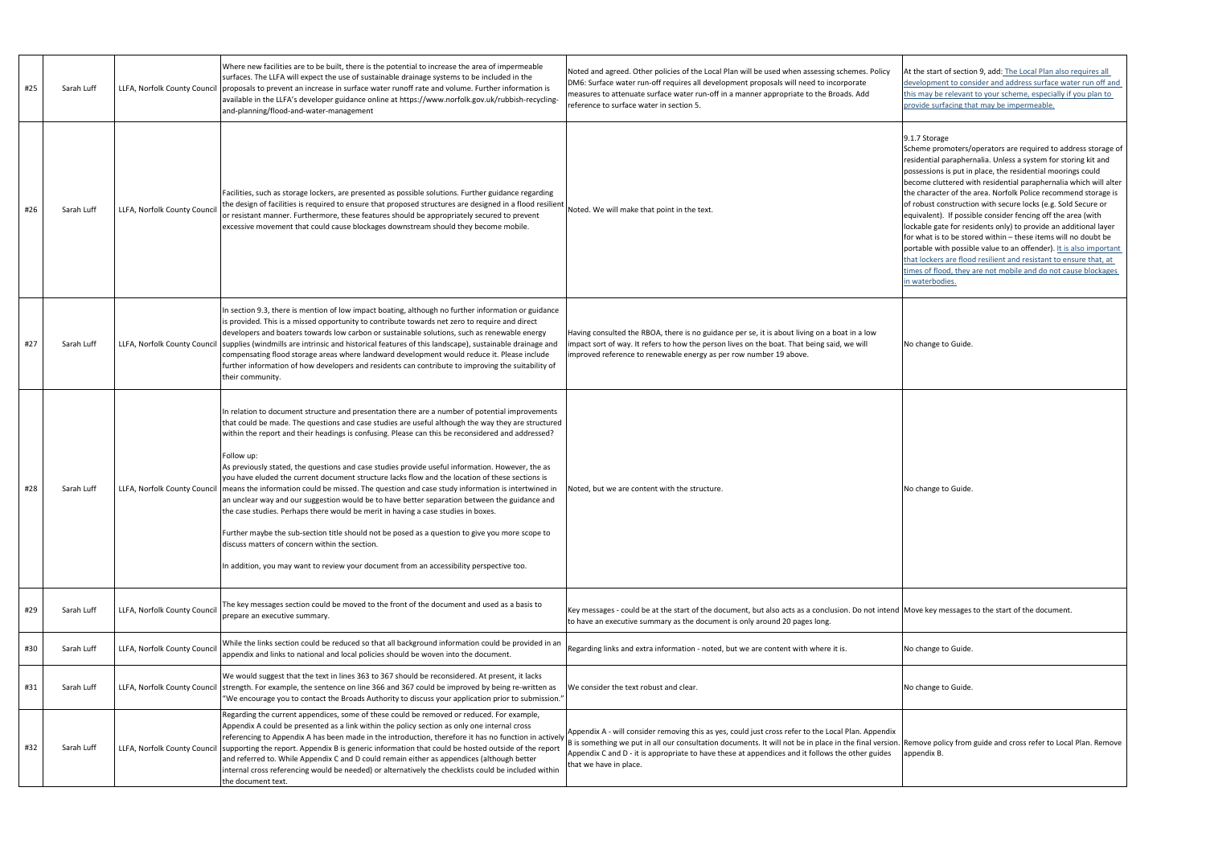| #25 | Sarah Luff | LLFA, Norfolk County Council | Where new facilities are to be built, there is the potential to increase the area of impermeable<br>surfaces. The LLFA will expect the use of sustainable drainage systems to be included in the<br>proposals to prevent an increase in surface water runoff rate and volume. Further information is<br>available in the LLFA's developer guidance online at https://www.norfolk.gov.uk/rubbish-recycling-<br>and-planning/flood-and-water-management                                                                                                                                                                                                                                                                                                                                                                                                                                                                                                                                                                                                                      | Noted and agreed. Other policies of the Local Plan will be used when assessing schemes. Policy<br>DM6: Surface water run-off requires all development proposals will need to incorporate<br>measures to attenuate surface water run-off in a manner appropriate to the Broads. Add<br>reference to surface water in section 5.              | At the start of sectic<br>development to con<br>this may be relevant<br>provide surfacing th                                                                                                                                                                                                                                       |
|-----|------------|------------------------------|----------------------------------------------------------------------------------------------------------------------------------------------------------------------------------------------------------------------------------------------------------------------------------------------------------------------------------------------------------------------------------------------------------------------------------------------------------------------------------------------------------------------------------------------------------------------------------------------------------------------------------------------------------------------------------------------------------------------------------------------------------------------------------------------------------------------------------------------------------------------------------------------------------------------------------------------------------------------------------------------------------------------------------------------------------------------------|---------------------------------------------------------------------------------------------------------------------------------------------------------------------------------------------------------------------------------------------------------------------------------------------------------------------------------------------|------------------------------------------------------------------------------------------------------------------------------------------------------------------------------------------------------------------------------------------------------------------------------------------------------------------------------------|
| #26 | Sarah Luff | LLFA, Norfolk County Council | Facilities, such as storage lockers, are presented as possible solutions. Further guidance regarding<br>the design of facilities is required to ensure that proposed structures are designed in a flood resilient<br>or resistant manner. Furthermore, these features should be appropriately secured to prevent<br>excessive movement that could cause blockages downstream should they become mobile.                                                                                                                                                                                                                                                                                                                                                                                                                                                                                                                                                                                                                                                                    | Noted. We will make that point in the text.                                                                                                                                                                                                                                                                                                 | 9.1.7 Storage<br>Scheme promoters/<br>residential parapher<br>possessions is put in<br>become cluttered w<br>the character of the<br>of robust construction<br>equivalent). If possi<br>lockable gate for res<br>for what is to be sto<br>portable with possib<br>that lockers are floo<br>times of flood, they<br>in waterbodies. |
| #27 | Sarah Luff | LLFA, Norfolk County Council | In section 9.3, there is mention of low impact boating, although no further information or guidance<br>is provided. This is a missed opportunity to contribute towards net zero to require and direct<br>developers and boaters towards low carbon or sustainable solutions, such as renewable energy<br>supplies (windmills are intrinsic and historical features of this landscape), sustainable drainage and<br>compensating flood storage areas where landward development would reduce it. Please include<br>further information of how developers and residents can contribute to improving the suitability of<br>their community.                                                                                                                                                                                                                                                                                                                                                                                                                                   | Having consulted the RBOA, there is no guidance per se, it is about living on a boat in a low<br>impact sort of way. It refers to how the person lives on the boat. That being said, we will<br>improved reference to renewable energy as per row number 19 above.                                                                          | No change to Guide                                                                                                                                                                                                                                                                                                                 |
| #28 | Sarah Luff | LLFA, Norfolk County Council | In relation to document structure and presentation there are a number of potential improvements<br>that could be made. The questions and case studies are useful although the way they are structured<br>within the report and their headings is confusing. Please can this be reconsidered and addressed?<br>Follow up:<br>As previously stated, the questions and case studies provide useful information. However, the as<br>you have eluded the current document structure lacks flow and the location of these sections is<br>means the information could be missed. The question and case study information is intertwined in<br>an unclear way and our suggestion would be to have better separation between the guidance and<br>the case studies. Perhaps there would be merit in having a case studies in boxes.<br>Further maybe the sub-section title should not be posed as a question to give you more scope to<br>discuss matters of concern within the section.<br>In addition, you may want to review your document from an accessibility perspective too. | Noted, but we are content with the structure.                                                                                                                                                                                                                                                                                               | No change to Guide                                                                                                                                                                                                                                                                                                                 |
| #29 | Sarah Luff | LLFA, Norfolk County Council | The key messages section could be moved to the front of the document and used as a basis to<br>prepare an executive summary.                                                                                                                                                                                                                                                                                                                                                                                                                                                                                                                                                                                                                                                                                                                                                                                                                                                                                                                                               | Key messages - could be at the start of the document, but also acts as a conclusion. Do not intend Move key messages<br>to have an executive summary as the document is only around 20 pages long.                                                                                                                                          |                                                                                                                                                                                                                                                                                                                                    |
| #30 | Sarah Luff | LLFA, Norfolk County Council | While the links section could be reduced so that all background information could be provided in an<br>appendix and links to national and local policies should be woven into the document.                                                                                                                                                                                                                                                                                                                                                                                                                                                                                                                                                                                                                                                                                                                                                                                                                                                                                | Regarding links and extra information - noted, but we are content with where it is.                                                                                                                                                                                                                                                         | No change to Guide                                                                                                                                                                                                                                                                                                                 |
| #31 | Sarah Luff |                              | We would suggest that the text in lines 363 to 367 should be reconsidered. At present, it lacks<br>LLFA, Norfolk County Council strength. For example, the sentence on line 366 and 367 could be improved by being re-written as<br>"We encourage you to contact the Broads Authority to discuss your application prior to submission."                                                                                                                                                                                                                                                                                                                                                                                                                                                                                                                                                                                                                                                                                                                                    | We consider the text robust and clear.                                                                                                                                                                                                                                                                                                      | No change to Guide                                                                                                                                                                                                                                                                                                                 |
| #32 | Sarah Luff |                              | Regarding the current appendices, some of these could be removed or reduced. For example,<br>Appendix A could be presented as a link within the policy section as only one internal cross<br>referencing to Appendix A has been made in the introduction, therefore it has no function in actively<br>LLFA, Norfolk County Council supporting the report. Appendix B is generic information that could be hosted outside of the report<br>and referred to. While Appendix C and D could remain either as appendices (although better<br>internal cross referencing would be needed) or alternatively the checklists could be included within<br>the document text.                                                                                                                                                                                                                                                                                                                                                                                                         | Appendix A - will consider removing this as yes, could just cross refer to the Local Plan. Appendix<br>B is something we put in all our consultation documents. It will not be in place in the final version.<br>Appendix C and D - it is appropriate to have these at appendices and it follows the other guides<br>that we have in place. | Remove policy from<br>appendix B.                                                                                                                                                                                                                                                                                                  |
|     |            |                              |                                                                                                                                                                                                                                                                                                                                                                                                                                                                                                                                                                                                                                                                                                                                                                                                                                                                                                                                                                                                                                                                            |                                                                                                                                                                                                                                                                                                                                             |                                                                                                                                                                                                                                                                                                                                    |

t the start of section 9, add: The Local Plan also requires all evelopment to consider and address surface water run off and is may be relevant to your scheme, especially if you plan to rovide surfacing that may be impermeable.

## 1.7 Storage

 $S$  heme promoters/operators are required to address storage of sidential paraphernalia. Unless a system for storing kit and possessions is put in place, the residential moorings could ecome cluttered with residential paraphernalia which will alter e character of the area. Norfolk Police recommend storage is robust construction with secure locks (e.g. Sold Secure or quivalent). If possible consider fencing off the area (with ckable gate for residents only) to provide an additional layer r what is to be stored within – these items will no doubt be prtable with possible value to an offender). It is also important at lockers are flood resilient and resistant to ensure that, at mes of flood, they are not mobile and do not cause blockages waterbodies.

love key messages to the start of the document.

emove policy from guide and cross refer to Local Plan. Remove appendix B.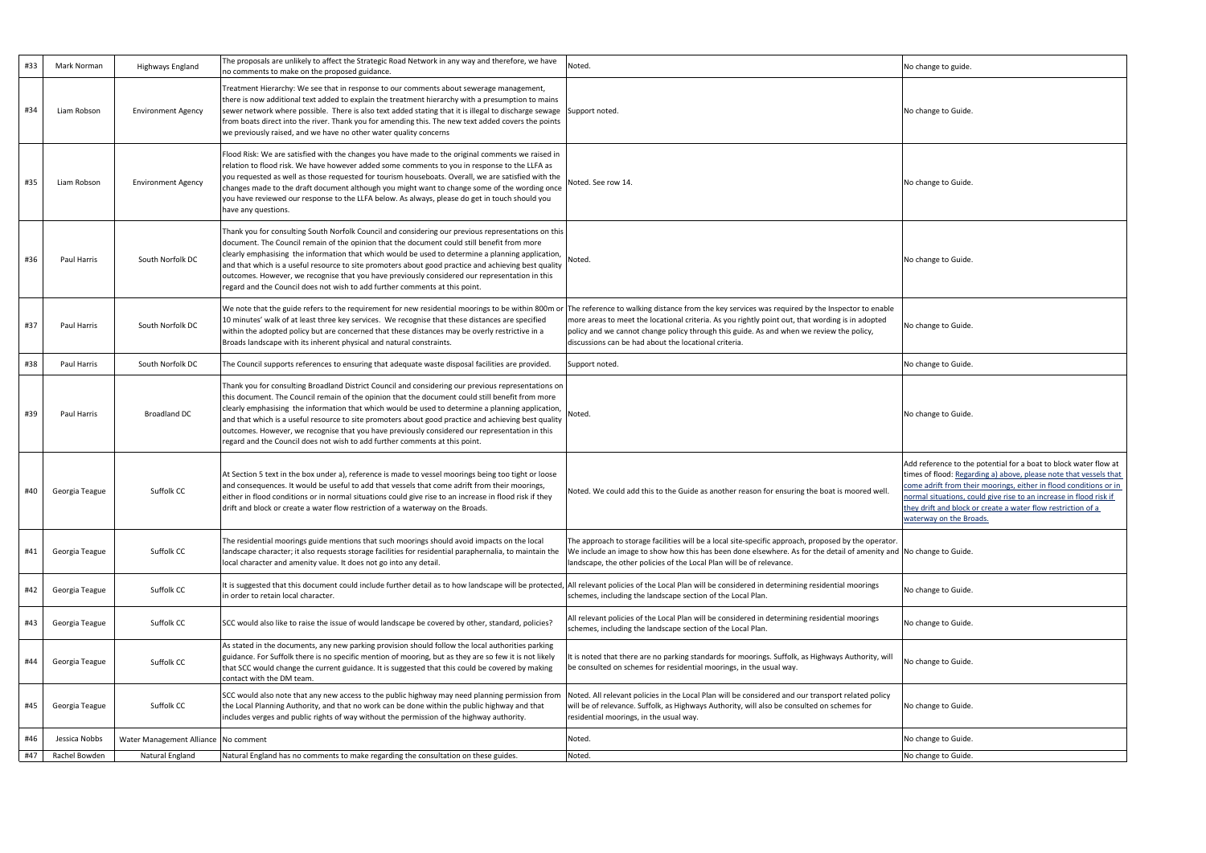| #33 | Mark Norman    | Highways England                     | The proposals are unlikely to affect the Strategic Road Network in any way and therefore, we have<br>no comments to make on the proposed guidance.                                                                                                                                                                                                                                                                                                                                                                                                                                                    | Noted.                                                                                                                                                                                                                                                                                                                                                   | No change to guide.                                                                                                                        |
|-----|----------------|--------------------------------------|-------------------------------------------------------------------------------------------------------------------------------------------------------------------------------------------------------------------------------------------------------------------------------------------------------------------------------------------------------------------------------------------------------------------------------------------------------------------------------------------------------------------------------------------------------------------------------------------------------|----------------------------------------------------------------------------------------------------------------------------------------------------------------------------------------------------------------------------------------------------------------------------------------------------------------------------------------------------------|--------------------------------------------------------------------------------------------------------------------------------------------|
| #34 | Liam Robson    | <b>Environment Agency</b>            | Treatment Hierarchy: We see that in response to our comments about sewerage management,<br>there is now additional text added to explain the treatment hierarchy with a presumption to mains<br>sewer network where possible. There is also text added stating that it is illegal to discharge sewage Support noted.<br>from boats direct into the river. Thank you for amending this. The new text added covers the points<br>we previously raised, and we have no other water quality concerns                                                                                                      |                                                                                                                                                                                                                                                                                                                                                          | No change to Guide                                                                                                                         |
| #35 | Liam Robson    | <b>Environment Agency</b>            | Flood Risk: We are satisfied with the changes you have made to the original comments we raised in<br>relation to flood risk. We have however added some comments to you in response to the LLFA as<br>you requested as well as those requested for tourism houseboats. Overall, we are satisfied with the<br>changes made to the draft document although you might want to change some of the wording once<br>you have reviewed our response to the LLFA below. As always, please do get in touch should you<br>have any questions.                                                                   | Noted. See row 14.                                                                                                                                                                                                                                                                                                                                       | No change to Guide                                                                                                                         |
| #36 | Paul Harris    | South Norfolk DC                     | Thank you for consulting South Norfolk Council and considering our previous representations on this<br>document. The Council remain of the opinion that the document could still benefit from more<br>clearly emphasising the information that which would be used to determine a planning application,<br>and that which is a useful resource to site promoters about good practice and achieving best quality<br>outcomes. However, we recognise that you have previously considered our representation in this<br>regard and the Council does not wish to add further comments at this point.      | Noted.                                                                                                                                                                                                                                                                                                                                                   | No change to Guide                                                                                                                         |
| #37 | Paul Harris    | South Norfolk DC                     | We note that the guide refers to the requirement for new residential moorings to be within 800m or<br>10 minutes' walk of at least three key services. We recognise that these distances are specified<br>within the adopted policy but are concerned that these distances may be overly restrictive in a<br>Broads landscape with its inherent physical and natural constraints.                                                                                                                                                                                                                     | The reference to walking distance from the key services was required by the Inspector to enable<br>more areas to meet the locational criteria. As you rightly point out, that wording is in adopted<br>policy and we cannot change policy through this guide. As and when we review the policy,<br>discussions can be had about the locational criteria. | No change to Guide.                                                                                                                        |
| #38 | Paul Harris    | South Norfolk DC                     | The Council supports references to ensuring that adequate waste disposal facilities are provided.                                                                                                                                                                                                                                                                                                                                                                                                                                                                                                     | Support noted.                                                                                                                                                                                                                                                                                                                                           | No change to Guide                                                                                                                         |
| #39 | Paul Harris    | <b>Broadland DC</b>                  | Thank you for consulting Broadland District Council and considering our previous representations on<br>this document. The Council remain of the opinion that the document could still benefit from more<br>clearly emphasising the information that which would be used to determine a planning application,<br>and that which is a useful resource to site promoters about good practice and achieving best quality<br>outcomes. However, we recognise that you have previously considered our representation in this<br>regard and the Council does not wish to add further comments at this point. | Noted.                                                                                                                                                                                                                                                                                                                                                   | No change to Guide                                                                                                                         |
| #40 | Georgia Teague | Suffolk CC                           | At Section 5 text in the box under a), reference is made to vessel moorings being too tight or loose<br>and consequences. It would be useful to add that vessels that come adrift from their moorings,<br>either in flood conditions or in normal situations could give rise to an increase in flood risk if they<br>drift and block or create a water flow restriction of a waterway on the Broads.                                                                                                                                                                                                  | Noted. We could add this to the Guide as another reason for ensuring the boat is moored well.                                                                                                                                                                                                                                                            | Add reference to the<br>times of flood: Rega<br>come adrift from th<br>normal situations, co<br>they drift and block<br>waterway on the Br |
| #41 | Georgia Teague | Suffolk CC                           | The residential moorings guide mentions that such moorings should avoid impacts on the local<br>landscape character; it also requests storage facilities for residential paraphernalia, to maintain the<br>local character and amenity value. It does not go into any detail.                                                                                                                                                                                                                                                                                                                         | The approach to storage facilities will be a local site-specific approach, proposed by the operator.<br>We include an image to show how this has been done elsewhere. As for the detail of amenity and No change to Guide<br>landscape, the other policies of the Local Plan will be of relevance.                                                       |                                                                                                                                            |
| #42 | Georgia Teague | Suffolk CC                           | It is suggested that this document could include further detail as to how landscape will be protected,<br>in order to retain local character.                                                                                                                                                                                                                                                                                                                                                                                                                                                         | All relevant policies of the Local Plan will be considered in determining residential moorings<br>schemes, including the landscape section of the Local Plan.                                                                                                                                                                                            | No change to Guide                                                                                                                         |
| #43 | Georgia Teague | Suffolk CC                           | SCC would also like to raise the issue of would landscape be covered by other, standard, policies?                                                                                                                                                                                                                                                                                                                                                                                                                                                                                                    | All relevant policies of the Local Plan will be considered in determining residential moorings<br>schemes, including the landscape section of the Local Plan.                                                                                                                                                                                            | No change to Guide                                                                                                                         |
| #44 | Georgia Teague | Suffolk CC                           | As stated in the documents, any new parking provision should follow the local authorities parking<br>guidance. For Suffolk there is no specific mention of mooring, but as they are so few it is not likely<br>that SCC would change the current guidance. It is suggested that this could be covered by making<br>contact with the DM team.                                                                                                                                                                                                                                                          | It is noted that there are no parking standards for moorings. Suffolk, as Highways Authority, will<br>be consulted on schemes for residential moorings, in the usual way.                                                                                                                                                                                | No change to Guide                                                                                                                         |
| #45 | Georgia Teague | Suffolk CC                           | SCC would also note that any new access to the public highway may need planning permission from<br>the Local Planning Authority, and that no work can be done within the public highway and that<br>includes verges and public rights of way without the permission of the highway authority.                                                                                                                                                                                                                                                                                                         | Noted. All relevant policies in the Local Plan will be considered and our transport related policy<br>will be of relevance. Suffolk, as Highways Authority, will also be consulted on schemes for<br>residential moorings, in the usual way.                                                                                                             | No change to Guide                                                                                                                         |
| #46 | Jessica Nobbs  | Water Management Alliance No comment |                                                                                                                                                                                                                                                                                                                                                                                                                                                                                                                                                                                                       | Noted.                                                                                                                                                                                                                                                                                                                                                   | No change to Guide                                                                                                                         |
| #47 | Rachel Bowden  | Natural England                      | Natural England has no comments to make regarding the consultation on these guides.                                                                                                                                                                                                                                                                                                                                                                                                                                                                                                                   | Noted.                                                                                                                                                                                                                                                                                                                                                   | No change to Guide                                                                                                                         |

| No change to guide.                                                                                                                                                                                                                                                                                                                                                         |
|-----------------------------------------------------------------------------------------------------------------------------------------------------------------------------------------------------------------------------------------------------------------------------------------------------------------------------------------------------------------------------|
| No change to Guide.                                                                                                                                                                                                                                                                                                                                                         |
| No change to Guide.                                                                                                                                                                                                                                                                                                                                                         |
| No change to Guide.                                                                                                                                                                                                                                                                                                                                                         |
| No change to Guide.                                                                                                                                                                                                                                                                                                                                                         |
| No change to Guide.                                                                                                                                                                                                                                                                                                                                                         |
| No change to Guide.                                                                                                                                                                                                                                                                                                                                                         |
| Add reference to the potential for a boat to block water flow at<br>times of flood: Regarding a) above, please note that vessels that<br>come adrift from their moorings, either in flood conditions or in<br>normal situations, could give rise to an increase in flood risk if<br>they drift and block or create a water flow restriction of a<br>waterway on the Broads. |
| No change to Guide.                                                                                                                                                                                                                                                                                                                                                         |
| No change to Guide.                                                                                                                                                                                                                                                                                                                                                         |
| No change to Guide.                                                                                                                                                                                                                                                                                                                                                         |
| No change to Guide.                                                                                                                                                                                                                                                                                                                                                         |
| No change to Guide.                                                                                                                                                                                                                                                                                                                                                         |
| No change to Guide.                                                                                                                                                                                                                                                                                                                                                         |
| No change to Guide.                                                                                                                                                                                                                                                                                                                                                         |